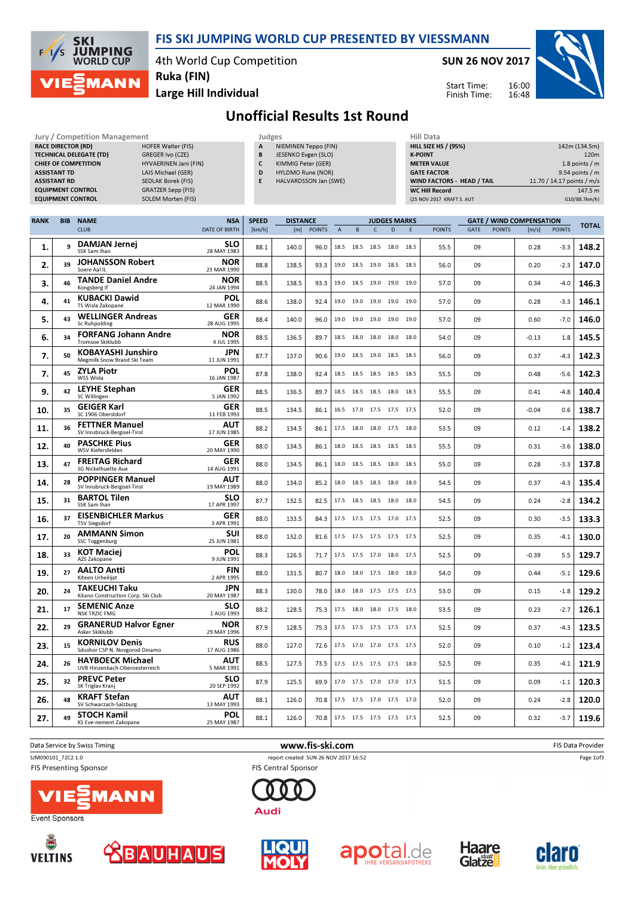

## FIS SKI JUMPING WORLD CUP PRESENTED BY VIESSMANN

4th World Cup Competition Ruka (FIN)

SUN 26 NOV 2017

Start Time: Finish Time:



Large Hill Individual

Unofficial Results 1st Round

| <b>Jury / Competition Management</b><br><b>RACE DIRECTOR (RD)</b><br>HOFER Walter (FIS)<br><b>TECHNICAL DELEGATE (TD)</b><br>GREGER Ivo (CZE)<br><b>CHIEF OF COMPETITION</b><br>HYVAERINEN Jani (FIN)<br><b>ASSISTANT TD</b><br>LAIS Michael (GER)<br>SEDLAK Borek (FIS)<br><b>ASSISTANT RD</b><br><b>EQUIPMENT CONTROL</b><br>GRATZER Sepp (FIS)<br><b>EQUIPMENT CONTROL</b><br>SOLEM Morten (FIS) |            |                                                            |                                    |                           |                                                                                | Judges<br>A<br>NIEMINEN Teppo (FIN)<br>B<br>JESENKO Evgen (SLO)<br>$\mathsf{c}$<br>KIMMIG Peter (GER)<br>D<br>HYLDMO Rune (NOR)<br>E<br>HALVARDSSON Jan (SWE) |        |                                                |           |                          | <b>Hill Data</b><br><b>HILL SIZE HS / (95%)</b><br><b>K-POINT</b><br><b>METER VALUE</b><br><b>GATE FACTOR</b><br>WIND FACTORS - HEAD / TAIL<br><b>WC Hill Record</b><br>(25 NOV 2017 KRAFT S. AUT |  |      |               |              |         | 142m (134.5m)<br>120m<br>1.8 points / m<br>9.54 points $/m$<br>11.70 / 14.17 points / m/s<br>147.5 m<br>G10/88.7km/h) |       |  |
|-----------------------------------------------------------------------------------------------------------------------------------------------------------------------------------------------------------------------------------------------------------------------------------------------------------------------------------------------------------------------------------------------------|------------|------------------------------------------------------------|------------------------------------|---------------------------|--------------------------------------------------------------------------------|---------------------------------------------------------------------------------------------------------------------------------------------------------------|--------|------------------------------------------------|-----------|--------------------------|---------------------------------------------------------------------------------------------------------------------------------------------------------------------------------------------------|--|------|---------------|--------------|---------|-----------------------------------------------------------------------------------------------------------------------|-------|--|
| <b>RANK</b>                                                                                                                                                                                                                                                                                                                                                                                         | <b>BIB</b> | <b>NAME</b><br><b>CLUB</b>                                 | <b>NSA</b><br><b>DATE OF BIRTH</b> | <b>SPEED</b><br>[km/h]    | <b>DISTANCE</b><br>[m]<br><b>POINTS</b><br>$\overline{A}$<br>B<br>$\mathsf{C}$ |                                                                                                                                                               |        | <b>JUDGES MARKS</b><br>E<br>D<br><b>POINTS</b> |           |                          | <b>GATE / WIND COMPENSATION</b><br><b>GATE</b><br><b>POINTS</b><br>[m/s]                                                                                                                          |  |      | <b>POINTS</b> | <b>TOTAL</b> |         |                                                                                                                       |       |  |
| 1.                                                                                                                                                                                                                                                                                                                                                                                                  | q          | <b>DAMJAN Jernej</b><br>SSK Sam Ihan                       |                                    | SLO<br>28 MAY 1983        | 88.1                                                                           | 140.0                                                                                                                                                         | 96.0   |                                                |           | 18.5 18.5 18.5 18.0 18.5 |                                                                                                                                                                                                   |  | 55.5 | 09            |              | 0.28    | $-3.3$                                                                                                                | 148.2 |  |
| 2.                                                                                                                                                                                                                                                                                                                                                                                                  | 39         | <b>JOHANSSON Robert</b><br>Soere Aal IL                    |                                    | <b>NOR</b><br>23 MAR 1990 | 88.8                                                                           | 138.5                                                                                                                                                         | 93.3   |                                                |           | 19.0 18.5 19.0 18.5 18.5 |                                                                                                                                                                                                   |  | 56.0 | 09            |              | 0.20    | $-2.3$                                                                                                                | 147.0 |  |
| 3.                                                                                                                                                                                                                                                                                                                                                                                                  | 46         | <b>TANDE Daniel Andre</b><br>Kongsberg If                  |                                    | <b>NOR</b><br>24 JAN 1994 | 88.5                                                                           | 138.5                                                                                                                                                         | 93.3   |                                                | 19.0 18.5 | 19.0 19.0 19.0           |                                                                                                                                                                                                   |  | 57.0 | 09            |              | 0.34    | $-4.0$                                                                                                                | 146.3 |  |
| 4.                                                                                                                                                                                                                                                                                                                                                                                                  | 41         | <b>KUBACKI Dawid</b><br>TS Wisla Zakopane                  |                                    | POL<br>12 MAR 1990        | 88.6                                                                           | 138.0                                                                                                                                                         | 92.4   |                                                | 19.0 19.0 | 19.0 19.0 19.0           |                                                                                                                                                                                                   |  | 57.0 | 09            |              | 0.28    | $-3.3$                                                                                                                | 146.1 |  |
| 5.                                                                                                                                                                                                                                                                                                                                                                                                  | 43         | <b>WELLINGER Andreas</b><br>Sc Ruhpolding                  |                                    | GER<br>28 AUG 1995        | 88.4                                                                           | 140.0                                                                                                                                                         | 96.0   | 19.0                                           | 19.0      | 19.0 19.0 19.0           |                                                                                                                                                                                                   |  | 57.0 | 09            |              | 0.60    | $-7.0$                                                                                                                | 146.0 |  |
| 6.                                                                                                                                                                                                                                                                                                                                                                                                  | 34         | <b>FORFANG Johann Andre</b><br>Tromsoe Skiklubb            |                                    | <b>NOR</b><br>4 JUL 1995  | 88.5                                                                           | 136.5                                                                                                                                                         | 89.7   |                                                |           | 18.5 18.0 18.0 18.0 18.0 |                                                                                                                                                                                                   |  | 54.0 | 09            |              | $-0.13$ | 1.8                                                                                                                   | 145.5 |  |
| 7.                                                                                                                                                                                                                                                                                                                                                                                                  | 50         | KOBAYASHI Junshiro<br>Megmilk Snow Brand Ski Team          |                                    | JPN<br>11 JUN 1991        | 87.7                                                                           | 137.0                                                                                                                                                         | 90.6   |                                                |           | 19.0 18.5 19.0 18.5 18.5 |                                                                                                                                                                                                   |  | 56.0 | 09            |              | 0.37    | $-4.3$                                                                                                                | 142.3 |  |
| 7.                                                                                                                                                                                                                                                                                                                                                                                                  | 45         | <b>ZYLA Piotr</b><br>WSS Wisla                             |                                    | POL<br>16 JAN 1987        | 87.8                                                                           | 138.0                                                                                                                                                         | 92.4   |                                                | 18.5 18.5 | 18.5 18.5 18.5           |                                                                                                                                                                                                   |  | 55.5 | 09            |              | 0.48    | $-5.6$                                                                                                                | 142.3 |  |
| 9.                                                                                                                                                                                                                                                                                                                                                                                                  | 42         | <b>LEYHE Stephan</b><br>SC Willingen                       |                                    | <b>GER</b><br>5 JAN 1992  | 88.5                                                                           | 136.5                                                                                                                                                         | 89.7   |                                                |           | 18.5 18.5 18.5 18.0 18.5 |                                                                                                                                                                                                   |  | 55.5 | 09            |              | 0.41    | $-4.8$                                                                                                                | 140.4 |  |
| 10.                                                                                                                                                                                                                                                                                                                                                                                                 | 35         | <b>GEIGER Karl</b><br>SC 1906 Oberstdorf                   |                                    | <b>GER</b><br>11 FEB 1993 | 88.5                                                                           | 134.5                                                                                                                                                         | 86.1   |                                                |           | 16.5 17.0 17.5 17.5 17.5 |                                                                                                                                                                                                   |  | 52.0 | 09            |              | -0.04   | 0.6                                                                                                                   | 138.7 |  |
| 11.                                                                                                                                                                                                                                                                                                                                                                                                 | 36         | <b>FETTNER Manuel</b><br>SV Innsbruck-Bergisel-Tirol       |                                    | AUT<br>17 JUN 1985        | 88.2                                                                           | 134.5                                                                                                                                                         | 86.1   | 17.5 18.0                                      |           | 18.0 17.5 18.0           |                                                                                                                                                                                                   |  | 53.5 | 09            |              | 0.12    | $-1.4$                                                                                                                | 138.2 |  |
| 12.                                                                                                                                                                                                                                                                                                                                                                                                 | 40         | <b>PASCHKE Pius</b><br>WSV Kiefersfelden                   |                                    | <b>GER</b><br>20 MAY 1990 | 88.0                                                                           | 134.5                                                                                                                                                         | 86.1   |                                                |           | 18.0 18.5 18.5 18.5 18.5 |                                                                                                                                                                                                   |  | 55.5 | 09            |              | 0.31    | $-3.6$                                                                                                                | 138.0 |  |
| 13.                                                                                                                                                                                                                                                                                                                                                                                                 | 47         | <b>FREITAG Richard</b><br>SG Nickelhuette Aue              |                                    | <b>GER</b><br>14 AUG 1991 | 88.0                                                                           | 134.5                                                                                                                                                         | 86.1   |                                                |           | 18.0 18.5 18.5 18.0 18.5 |                                                                                                                                                                                                   |  | 55.0 | 09            |              | 0.28    | $-3.3$                                                                                                                | 137.8 |  |
| 14.                                                                                                                                                                                                                                                                                                                                                                                                 | 28         | <b>POPPINGER Manuel</b><br>SV Innsbruck-Bergisel-Tirol     |                                    | AUT<br>19 MAY 1989        | 88.0                                                                           | 134.0                                                                                                                                                         | 85.2   |                                                |           | 18.0 18.5 18.5 18.0 18.0 |                                                                                                                                                                                                   |  | 54.5 | 09            |              | 0.37    | $-4.3$                                                                                                                | 135.4 |  |
| 15.                                                                                                                                                                                                                                                                                                                                                                                                 | 31         | <b>BARTOL Tilen</b><br>SSK Sam Ihan                        |                                    | SLO<br>17 APR 1997        | 87.7                                                                           | 132.5                                                                                                                                                         | 82.5   |                                                |           | 17.5 18.5 18.5 18.0 18.0 |                                                                                                                                                                                                   |  | 54.5 | 09            |              | 0.24    | $-2.8$                                                                                                                | 134.2 |  |
| 16.                                                                                                                                                                                                                                                                                                                                                                                                 | 37         | <b>EISENBICHLER Markus</b><br><b>TSV Siegsdorf</b>         |                                    | <b>GER</b><br>3 APR 1991  | 88.0                                                                           | 133.5                                                                                                                                                         | 84.3   |                                                |           | 17.5 17.5 17.5 17.0 17.5 |                                                                                                                                                                                                   |  | 52.5 | 09            |              | 0.30    | $-3.5$                                                                                                                | 133.3 |  |
| 17.                                                                                                                                                                                                                                                                                                                                                                                                 | 20         | <b>AMMANN Simon</b><br>SSC Toggenburg                      |                                    | SUI<br>25 JUN 1981        | 88.0                                                                           | 132.0                                                                                                                                                         | 81.6   | 17.5 17.5                                      |           | 17.5 17.5 17.5           |                                                                                                                                                                                                   |  | 52.5 | 09            |              | 0.35    | $-4.1$                                                                                                                | 130.0 |  |
| 18.                                                                                                                                                                                                                                                                                                                                                                                                 | 33         | <b>KOT Maciej</b><br>AZS Zakopane                          |                                    | <b>POL</b><br>9 JUN 1991  | 88.3                                                                           | 126.5                                                                                                                                                         | 71.7   |                                                |           | 17.5 17.5 17.0 18.0 17.5 |                                                                                                                                                                                                   |  | 52.5 | 09            |              | $-0.39$ | 5.5                                                                                                                   | 129.7 |  |
| 19.                                                                                                                                                                                                                                                                                                                                                                                                 | 27         | <b>AALTO Antti</b><br>Kiteen Urheilijat                    |                                    | <b>FIN</b><br>2 APR 1995  | 88.0                                                                           | 131.5                                                                                                                                                         | 80.7   |                                                |           | 18.0 18.0 17.5 18.0 18.0 |                                                                                                                                                                                                   |  | 54.0 | 09            |              | 0.44    | -5.1                                                                                                                  | 129.6 |  |
| 20.                                                                                                                                                                                                                                                                                                                                                                                                 | 24         | <b>TAKEUCHI Taku</b><br>Kitano Construction Corp. Ski Club |                                    | JPN<br>20 MAY 1987        | 88.3                                                                           | 130.0                                                                                                                                                         | 78.0   |                                                |           | 18.0 18.0 17.5 17.5 17.5 |                                                                                                                                                                                                   |  | 53.0 | 09            |              | 0.15    | $-1.8$                                                                                                                | 129.2 |  |
| 21.                                                                                                                                                                                                                                                                                                                                                                                                 |            | <b>SEMENIC Anze</b><br>NSK TRZIC FMG                       |                                    | <b>SLO</b><br>1 AUG 1993  | 88.2                                                                           | 128.5                                                                                                                                                         | 75.3   |                                                |           | 17.5 18.0 18.0 17.5 18.0 |                                                                                                                                                                                                   |  | 53.5 | 09            |              | 0.23    | $-2.7$                                                                                                                | 126.1 |  |
| 22.                                                                                                                                                                                                                                                                                                                                                                                                 | 29         | <b>GRANERUD Halvor Egner</b><br>Asker Skiklubb             |                                    | <b>NOR</b><br>29 MAY 1996 | 87.9                                                                           | 128.5                                                                                                                                                         | 75.3 l |                                                |           | 17.5 17.5 17.5 17.5 17.5 |                                                                                                                                                                                                   |  | 52.5 | 09            |              | 0.37    | -4.3                                                                                                                  | 123.5 |  |
| 23.                                                                                                                                                                                                                                                                                                                                                                                                 | 15         | <b>KORNILOV Denis</b><br>Sdushor CSP N. Novgorod Dinamo    |                                    | <b>RUS</b><br>17 AUG 1986 | 88.0                                                                           | 127.0                                                                                                                                                         | 72.6   |                                                |           | 17.5 17.0 17.0 17.5 17.5 |                                                                                                                                                                                                   |  | 52.0 | 09            |              | 0.10    | $-1.2$                                                                                                                | 123.4 |  |
| 24.                                                                                                                                                                                                                                                                                                                                                                                                 | 26         | <b>HAYBOECK Michael</b><br>UVB Hinzenbach-Oberoesterreich  |                                    | <b>AUT</b><br>5 MAR 1991  | 88.5                                                                           | 127.5                                                                                                                                                         | 73.5   |                                                |           | 17.5 17.5 17.5 17.5 18.0 |                                                                                                                                                                                                   |  | 52.5 | 09            |              | 0.35    | $-4.1$                                                                                                                | 121.9 |  |
| 25.                                                                                                                                                                                                                                                                                                                                                                                                 | 32         | <b>PREVC Peter</b><br>SK Triglav Kranj                     |                                    | <b>SLO</b><br>20 SEP 1992 | 87.9                                                                           | 125.5                                                                                                                                                         | 69.9   |                                                |           | 17.0 17.5 17.0 17.0 17.5 |                                                                                                                                                                                                   |  | 51.5 | 09            |              | 0.09    | $-1.1$                                                                                                                | 120.3 |  |
| 26.                                                                                                                                                                                                                                                                                                                                                                                                 | 48         | <b>KRAFT Stefan</b><br>SV Schwarzach-Salzburg              |                                    | AUT<br>13 MAY 1993        | 88.1                                                                           | 126.0                                                                                                                                                         | 70.8   |                                                |           | 17.5 17.5 17.0 17.5 17.0 |                                                                                                                                                                                                   |  | 52.0 | 09            |              | 0.24    | $-2.8$                                                                                                                | 120.0 |  |
| 27.                                                                                                                                                                                                                                                                                                                                                                                                 | 49         | <b>STOCH Kamil</b><br>KS Eve-nement Zakopane               |                                    | <b>POL</b><br>25 MAY 1987 | 88.1                                                                           | 126.0                                                                                                                                                         | 70.8   |                                                |           | 17.5 17.5 17.5 17.5 17.5 |                                                                                                                                                                                                   |  | 52.5 | 09            |              | 0.32    | $-3.7$                                                                                                                | 119.6 |  |

Data Service by Swiss Timing **EXECUTE:** The Service by Swiss Timing FIS Data Provider SJM090101\_72C2 1.0 report created SUN 26 NOV 2017 16:52 Page 1of3 **FIS Presenting Sponsor FIS Central Sponsor** 









**Audi** 





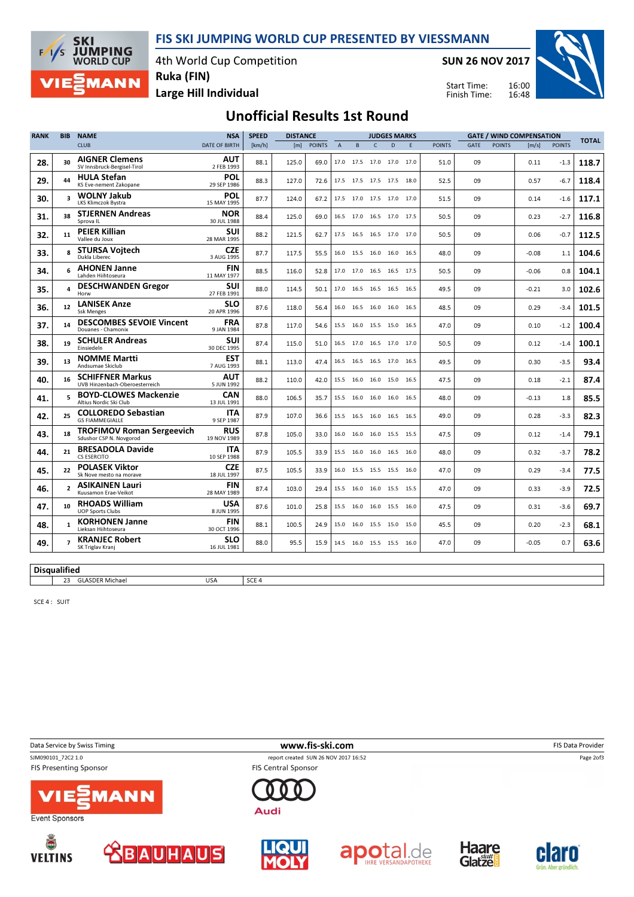FIS SKI JUMPING WORLD CUP PRESENTED BY VIESSMANN

4th World Cup Competition Ruka (FIN)

SUN 26 NOV 2017



Large Hill Individual

**SKI** 

 $\sqrt{ }$ ∕< **JUMPING**<br>WORLD CUP

**MANN** 

16:00 16:48 Start Time: Finish Time:

## Unofficial Results 1st Round

DISTANCE

| <b>RANK</b> | <b>BIB</b>              | <b>NSA</b><br><b>NAME</b>                                   |                           |        | <b>SPEED</b><br><b>DISTANCE</b> |               |                | <b>JUDGES MARKS</b> |                          |                |      |               | <b>GATE / WIND COMPENSATION</b> |               |         |               |              |
|-------------|-------------------------|-------------------------------------------------------------|---------------------------|--------|---------------------------------|---------------|----------------|---------------------|--------------------------|----------------|------|---------------|---------------------------------|---------------|---------|---------------|--------------|
|             |                         | <b>CLUB</b>                                                 | <b>DATE OF BIRTH</b>      | [km/h] | [m]                             | <b>POINTS</b> | $\overline{A}$ | B                   | $\overline{C}$           | $\overline{D}$ | E    | <b>POINTS</b> | GATE                            | <b>POINTS</b> | [m/s]   | <b>POINTS</b> | <b>TOTAL</b> |
| 28.         | 30                      | <b>AIGNER Clemens</b><br>SV Innsbruck-Bergisel-Tirol        | AUT<br>2 FEB 1993         | 88.1   | 125.0                           | 69.0          | 17.0 17.5      |                     | 17.0 17.0 17.0           |                |      | 51.0          | 09                              |               | 0.11    | $-1.3$        | 118.7        |
| 29.         | 44                      | <b>HULA Stefan</b><br>KS Eve-nement Zakopane                | POL<br>29 SEP 1986        | 88.3   | 127.0                           | 72.6          |                |                     | 17.5 17.5 17.5 17.5 18.0 |                |      | 52.5          | 09                              |               | 0.57    | $-6.7$        | 118.4        |
| 30.         | $\overline{\mathbf{3}}$ | <b>WOLNY Jakub</b><br><b>LKS Klimczok Bystra</b>            | POL<br>15 MAY 1995        | 87.7   | 124.0                           | 67.2          |                |                     | 17.5 17.0 17.5 17.0 17.0 |                |      | 51.5          | 09                              |               | 0.14    | $-1.6$        | 117.1        |
| 31.         | 38                      | <b>STJERNEN Andreas</b><br>Sprova IL                        | <b>NOR</b><br>30 JUL 1988 | 88.4   | 125.0                           | 69.0          |                |                     | 16.5 17.0 16.5 17.0 17.5 |                |      | 50.5          | 09                              |               | 0.23    | $-2.7$        | 116.8        |
| 32.         | 11                      | <b>PEIER Killian</b><br>Vallee du Joux                      | <b>SUI</b><br>28 MAR 1995 | 88.2   | 121.5                           | 62.7          |                |                     | 17.5 16.5 16.5 17.0 17.0 |                |      | 50.5          | 09                              |               | 0.06    | $-0.7$        | 112.5        |
| 33.         | 8                       | <b>STURSA Voitech</b><br>Dukla Liberec                      | <b>CZE</b><br>3 AUG 1995  | 87.7   | 117.5                           | 55.5          |                |                     | 16.0 15.5 16.0 16.0 16.5 |                |      | 48.0          | 09                              |               | $-0.08$ | 1.1           | 104.6        |
| 34.         | 6                       | <b>AHONEN Janne</b><br>Lahden Hiihtoseura                   | FIN<br>11 MAY 1977        | 88.5   | 116.0                           | 52.8          |                |                     | 17.0 17.0 16.5 16.5 17.5 |                |      | 50.5          | 09                              |               | $-0.06$ | 0.8           | 104.1        |
| 35.         | 4                       | <b>DESCHWANDEN Gregor</b><br>Horw                           | <b>SUI</b><br>27 FEB 1991 | 88.0   | 114.5                           | 50.1          |                |                     | 17.0 16.5 16.5 16.5 16.5 |                |      | 49.5          | 09                              |               | $-0.21$ | 3.0           | 102.6        |
| 36.         | 12                      | <b>LANISEK Anze</b><br><b>Ssk Menges</b>                    | <b>SLO</b><br>20 APR 1996 | 87.6   | 118.0                           | 56.4          |                |                     | 16.0 16.5 16.0 16.0 16.5 |                |      | 48.5          | 09                              |               | 0.29    | $-3.4$        | 101.5        |
| 37.         | 14                      | <b>DESCOMBES SEVOIE Vincent</b><br>Douanes - Chamonix       | <b>FRA</b><br>9 JAN 1984  | 87.8   | 117.0                           | 54.6          |                |                     | 15.5 16.0 15.5 15.0 16.5 |                |      | 47.0          | 09                              |               | 0.10    | $-1.2$        | 100.4        |
| 38.         | 19                      | <b>SCHULER Andreas</b><br>Einsiedeln                        | <b>SUI</b><br>30 DEC 1995 | 87.4   | 115.0                           | 51.0          |                |                     | 16.5 17.0 16.5 17.0 17.0 |                |      | 50.5          | 09                              |               | 0.12    | $-1.4$        | 100.1        |
| 39.         | 13                      | <b>NOMME Martti</b><br>Andsumae Skiclub                     | <b>EST</b><br>7 AUG 1993  | 88.1   | 113.0                           | 47.4          |                |                     | 16.5 16.5 16.5 17.0 16.5 |                |      | 49.5          | 09                              |               | 0.30    | $-3.5$        | 93.4         |
| 40.         | 16                      | <b>SCHIFFNER Markus</b><br>UVB Hinzenbach-Oberoesterreich   | AUT<br>5 JUN 1992         | 88.2   | 110.0                           | 42.0          | 15.5 16.0      |                     | 16.0 15.0 16.5           |                |      | 47.5          | 09                              |               | 0.18    | $-2.1$        | 87.4         |
| 41.         | 5                       | <b>BOYD-CLOWES Mackenzie</b><br>Altius Nordic Ski Club      | CAN<br>13 JUL 1991        | 88.0   | 106.5                           | 35.7          | 15.5 16.0      |                     | 16.0 16.0 16.5           |                |      | 48.0          | 09                              |               | $-0.13$ | 1.8           | 85.5         |
| 42.         | 25                      | <b>COLLOREDO Sebastian</b><br><b>GS FIAMMEGIALLE</b>        | <b>ITA</b><br>9 SEP 1987  | 87.9   | 107.0                           | 36.6          |                |                     | 15.5 16.5 16.0 16.5 16.5 |                |      | 49.0          | 09                              |               | 0.28    | $-3.3$        | 82.3         |
| 43.         | 18                      | <b>TROFIMOV Roman Sergeevich</b><br>Sdushor CSP N. Novgorod | <b>RUS</b><br>19 NOV 1989 | 87.8   | 105.0                           | 33.0          |                |                     | 16.0 16.0 16.0 15.5 15.5 |                |      | 47.5          | 09                              |               | 0.12    | $-1.4$        | 79.1         |
| 44.         | 21                      | <b>BRESADOLA Davide</b><br><b>CS ESERCITO</b>               | <b>ITA</b><br>10 SEP 1988 | 87.9   | 105.5                           | 33.9          | 15.5 16.0      |                     | 16.0                     | 16.5 16.0      |      | 48.0          | 09                              |               | 0.32    | $-3.7$        | 78.2         |
| 45.         | 22                      | <b>POLASEK Viktor</b><br>Sk Nove mesto na morave            | <b>CZE</b><br>18 JUL 1997 | 87.5   | 105.5                           | 33.9          | 16.0           | 15.5                | 15.5                     | 15.5           | 16.0 | 47.0          | 09                              |               | 0.29    | $-3.4$        | 77.5         |
| 46.         | $\mathcal{L}$           | <b>ASIKAINEN Lauri</b><br>Kuusamon Erae-Veikot              | <b>FIN</b><br>28 MAY 1989 | 87.4   | 103.0                           | 29.4          |                |                     | 15.5 16.0 16.0 15.5 15.5 |                |      | 47.0          | 09                              |               | 0.33    | $-3.9$        | 72.5         |
| 47.         | 10                      | <b>RHOADS William</b><br><b>UOP Sports Clubs</b>            | USA<br>8 JUN 1995         | 87.6   | 101.0                           | 25.8          | 15.5 16.0      |                     | 16.0 15.5 16.0           |                |      | 47.5          | 09                              |               | 0.31    | $-3.6$        | 69.7         |
| 48.         | $\mathbf{1}$            | <b>KORHONEN Janne</b><br>Lieksan Hiihtoseura                | <b>FIN</b><br>30 OCT 1996 | 88.1   | 100.5                           | 24.9          |                |                     | 15.0 16.0 15.5 15.0 15.0 |                |      | 45.5          | 09                              |               | 0.20    | $-2.3$        | 68.1         |
| 49.         |                         | <b>KRANJEC Robert</b><br>SK Triglav Kranj                   | <b>SLO</b><br>16 JUL 1981 | 88.0   | 95.5                            | 15.9          |                |                     | 14.5 16.0 15.5 15.5 16.0 |                |      | 47.0          | 09                              |               | $-0.05$ | 0.7           | 63.6         |

**Disqualified** 

**23 GLASDER Michael USA** USA SCE 4

SCE 4 : SUIT